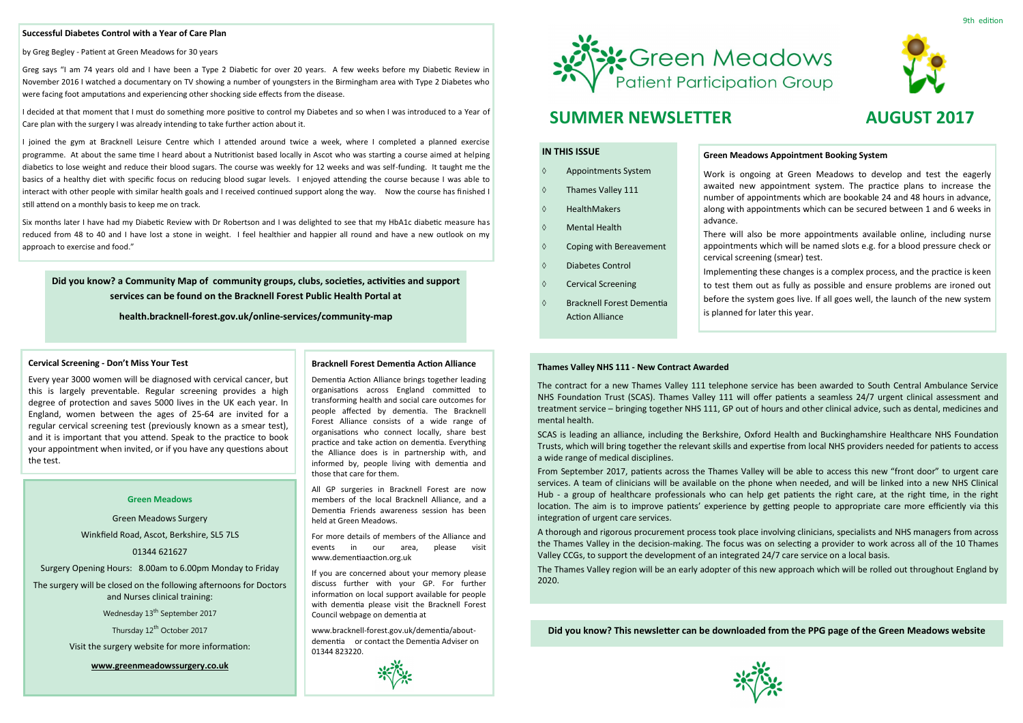## **IN THIS ISSUE**

- Appointments System
- Thames Valley 111
- HealthMakers
- Mental Health
- $\Diamond$  Coping with Bereavement
- Diabetes Control
- ♦ Cervical Screening
- Bracknell Forest Dementia Action Alliance

#### **Green Meadows**

Green Meadows Surgery Winkfield Road, Ascot, Berkshire, SL5 7LS

### 01344 621627

Surgery Opening Hours: 8.00am to 6.00pm Monday to Friday

The surgery will be closed on the following afternoons for Doctors and Nurses clinical training:

Wednesday 13<sup>th</sup> September 2017

Thursday 12<sup>th</sup> October 2017

Visit the surgery website for more information:

**www.greenmeadowssurgery.co.uk**



### **Successful Diabetes Control with a Year of Care Plan**

by Greg Begley - Patient at Green Meadows for 30 years

Greg says "I am 74 years old and I have been a Type 2 Diabetic for over 20 years. A few weeks before my Diabetic Review in November 2016 I watched a documentary on TV showing a number of youngsters in the Birmingham area with Type 2 Diabetes who were facing foot amputations and experiencing other shocking side effects from the disease.

I decided at that moment that I must do something more positive to control my Diabetes and so when I was introduced to a Year of Care plan with the surgery I was already intending to take further action about it.

I joined the gym at Bracknell Leisure Centre which I attended around twice a week, where I completed a planned exercise programme. At about the same time I heard about a Nutritionist based locally in Ascot who was starting a course aimed at helping diabetics to lose weight and reduce their blood sugars. The course was weekly for 12 weeks and was self-funding. It taught me the basics of a healthy diet with specific focus on reducing blood sugar levels. I enjoyed attending the course because I was able to interact with other people with similar health goals and I received continued support along the way. Now the course has finished I still attend on a monthly basis to keep me on track.

Six months later I have had my Diabetic Review with Dr Robertson and I was delighted to see that my HbA1c diabetic measure has reduced from 48 to 40 and I have lost a stone in weight. I feel healthier and happier all round and have a new outlook on my approach to exercise and food."

# **Green Meadows Appointment Booking System**

Work is ongoing at Green Meadows to develop and test the eagerly awaited new appointment system. The practice plans to increase the number of appointments which are bookable 24 and 48 hours in advance, along with appointments which can be secured between 1 and 6 weeks in

advance.

There will also be more appointments available online, including nurse appointments which will be named slots e.g. for a blood pressure check or



cervical screening (smear) test.

Implementing these changes is a complex process, and the practice is keen to test them out as fully as possible and ensure problems are ironed out before the system goes live. If all goes well, the launch of the new system is planned for later this year.

### **Bracknell Forest Dementia Action Alliance**

Dementia Action Alliance brings together leading organisations across England committed to transforming health and social care outcomes for people affected by dementia. The Bracknell Forest Alliance consists of a wide range of organisations who connect locally, share best practice and take action on dementia. Everything the Alliance does is in partnership with, and informed by, people living with dementia and those that care for them.

All GP surgeries in Bracknell Forest are now members of the local Bracknell Alliance, and a Dementia Friends awareness session has been held at Green Meadows.

For more details of members of the Alliance and events in our area, please visit www.dementiaaction.org.uk

If you are concerned about your memory please discuss further with your GP. For further information on local support available for people with dementia please visit the Bracknell Forest Council webpage on dementia at

www.bracknell-forest.gov.uk/dementia/aboutdementia or contact the Dementia Adviser on 01344 823220.





# **SUMMER NEWSLETTER AUGUST 2017**

**Did you know? This newsletter can be downloaded from the PPG page of the Green Meadows website**



**Did you know? a Community Map of community groups, clubs, societies, activities and support services can be found on the Bracknell Forest Public Health Portal at** 

**health.bracknell-forest.gov.uk/online-services/community-map**

#### **Cervical Screening - Don't Miss Your Test**

Every year 3000 women will be diagnosed with cervical cancer, but this is largely preventable. Regular screening provides a high degree of protection and saves 5000 lives in the UK each year. In England, women between the ages of 25-64 are invited for a regular cervical screening test (previously known as a smear test), and it is important that you attend. Speak to the practice to book your appointment when invited, or if you have any questions about the test.

#### **Thames Valley NHS 111 - New Contract Awarded**

The contract for a new Thames Valley 111 telephone service has been awarded to South Central Ambulance Service NHS Foundation Trust (SCAS). Thames Valley 111 will offer patients a seamless 24/7 urgent clinical assessment and treatment service – bringing together NHS 111, GP out of hours and other clinical advice, such as dental, medicines and mental health.

SCAS is leading an alliance, including the Berkshire, Oxford Health and Buckinghamshire Healthcare NHS Foundation Trusts, which will bring together the relevant skills and expertise from local NHS providers needed for patients to access a wide range of medical disciplines.

From September 2017, patients across the Thames Valley will be able to access this new "front door" to urgent care services. A team of clinicians will be available on the phone when needed, and will be linked into a new NHS Clinical Hub - a group of healthcare professionals who can help get patients the right care, at the right time, in the right location. The aim is to improve patients' experience by getting people to appropriate care more efficiently via this integration of urgent care services.

A thorough and rigorous procurement process took place involving clinicians, specialists and NHS managers from across the Thames Valley in the decision-making. The focus was on selecting a provider to work across all of the 10 Thames Valley CCGs, to support the development of an integrated 24/7 care service on a local basis.

The Thames Valley region will be an early adopter of this new approach which will be rolled out throughout England by 2020.